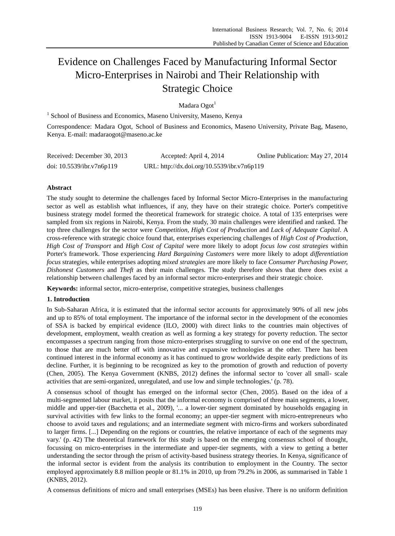# Evidence on Challenges Faced by Manufacturing Informal Sector Micro-Enterprises in Nairobi and Their Relationship with Strategic Choice

Madara Ogot<sup>1</sup>

<sup>1</sup> School of Business and Economics, Maseno University, Maseno, Kenya

Correspondence: Madara Ogot, School of Business and Economics, Maseno University, Private Bag, Maseno, Kenya. E-mail: madaraogot@maseno.ac.ke

| Received: December 30, 2013 | Accepted: April 4, 2014                     | Online Publication: May 27, 2014 |
|-----------------------------|---------------------------------------------|----------------------------------|
| doi: 10.5539/ibr.v7n6p119   | URL: http://dx.doi.org/10.5539/ibr.v7n6p119 |                                  |

# **Abstract**

The study sought to determine the challenges faced by Informal Sector Micro-Enterprises in the manufacturing sector as well as establish what influences, if any, they have on their strategic choice. Porter's competitive business strategy model formed the theoretical framework for strategic choice. A total of 135 enterprises were sampled from six regions in Nairobi, Kenya. From the study, 30 main challenges were identified and ranked. The top three challenges for the sector were *Competition*, *High Cost of Production* and *Lack of Adequate Capital*. A cross-reference with strategic choice found that, enterprises experiencing challenges of *High Cost of Production*, *High Cost of Transport* and *High Cost of Capital* were more likely to adopt *focus low cost strategies* within Porter's framework. Those experiencing *Hard Bargaining Customers* were more likely to adopt *differentiation focus* strategies, while enterprises adopting *mixed strategies* are more likely to face *Consumer Purchasing Power, Dishonest Customers* and *Theft* as their main challenges. The study therefore shows that there does exist a relationship between challenges faced by an informal sector micro-enterprises and their strategic choice.

**Keywords:** informal sector, micro-enterprise, competitive strategies, business challenges

# **1. Introduction**

In Sub-Saharan Africa, it is estimated that the informal sector accounts for approximately 90% of all new jobs and up to 85% of total employment. The importance of the informal sector in the development of the economies of SSA is backed by empirical evidence (ILO, 2000) with direct links to the countries main objectives of development, employment, wealth creation as well as forming a key strategy for poverty reduction. The sector encompasses a spectrum ranging from those micro-enterprises struggling to survive on one end of the spectrum, to those that are much better off with innovative and expansive technologies at the other. There has been continued interest in the informal economy as it has continued to grow worldwide despite early predictions of its decline. Further, it is beginning to be recognized as key to the promotion of growth and reduction of poverty (Chen, 2005). The Kenya Government (KNBS, 2012) defines the informal sector to 'cover all small- scale activities that are semi-organized, unregulated, and use low and simple technologies.' (p. 78).

A consensus school of thought has emerged on the informal sector (Chen, 2005). Based on the idea of a multi-segmented labour market, it posits that the informal economy is comprised of three main segments, a lower, middle and upper-tier (Bacchetta et al., 2009), '... a lower-tier segment dominated by households engaging in survival activities with few links to the formal economy; an upper-tier segment with micro-entrepreneurs who choose to avoid taxes and regulations; and an intermediate segment with micro-firms and workers subordinated to larger firms. [...] Depending on the regions or countries, the relative importance of each of the segments may vary.' (p. 42) The theoretical framework for this study is based on the emerging consensus school of thought, focussing on micro-enterprises in the intermediate and upper-tier segments, with a view to getting a better understanding the sector through the prism of activity-based business strategy theories. In Kenya, significance of the informal sector is evident from the analysis its contribution to employment in the Country. The sector employed approximately 8.8 million people or 81.1% in 2010, up from 79.2% in 2006, as summarised in Table 1 (KNBS, 2012).

A consensus definitions of micro and small enterprises (MSEs) has been elusive. There is no uniform definition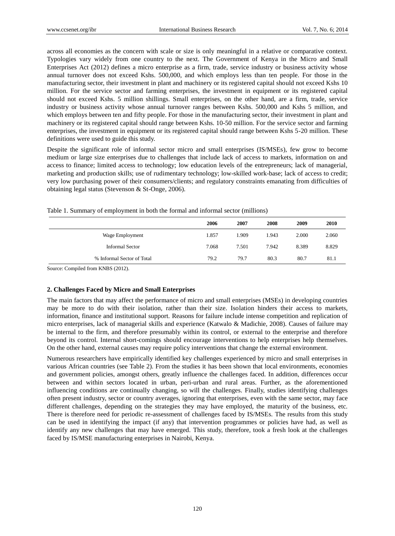across all economies as the concern with scale or size is only meaningful in a relative or comparative context. Typologies vary widely from one country to the next. The Government of Kenya in the Micro and Small Enterprises Act (2012) defines a micro enterprise as a firm, trade, service industry or business activity whose annual turnover does not exceed Kshs. 500,000, and which employs less than ten people. For those in the manufacturing sector, their investment in plant and machinery or its registered capital should not exceed Kshs 10 million. For the service sector and farming enterprises, the investment in equipment or its registered capital should not exceed Kshs. 5 million shillings. Small enterprises, on the other hand, are a firm, trade, service industry or business activity whose annual turnover ranges between Kshs. 500,000 and Kshs 5 million, and which employs between ten and fifty people. For those in the manufacturing sector, their investment in plant and machinery or its registered capital should range between Kshs. 10-50 million. For the service sector and farming enterprises, the investment in equipment or its registered capital should range between Kshs 5-20 million. These definitions were used to guide this study.

Despite the significant role of informal sector micro and small enterprises (IS/MSEs), few grow to become medium or large size enterprises due to challenges that include lack of access to markets, information on and access to finance; limited access to technology; low education levels of the entrepreneurs; lack of managerial, marketing and production skills; use of rudimentary technology; low-skilled work-base; lack of access to credit; very low purchasing power of their consumers/clients; and regulatory constraints emanating from difficulties of obtaining legal status (Stevenson & St-Onge, 2006).

|                            | 2006  | 2007  | 2008  | 2009  | 2010  |
|----------------------------|-------|-------|-------|-------|-------|
| Wage Employment            | 1.857 | 1.909 | 1.943 | 2.000 | 2.060 |
| <b>Informal Sector</b>     | 7.068 | 7.501 | 7.942 | 8.389 | 8.829 |
| % Informal Sector of Total | 79.2  | 79.7  | 80.3  | 80.7  | 81.1  |

Table 1. Summary of employment in both the formal and informal sector (millions)

Source: Compiled from KNBS (2012).

# **2. Challenges Faced by Micro and Small Enterprises**

The main factors that may affect the performance of micro and small enterprises (MSEs) in developing countries may be more to do with their isolation, rather than their size. Isolation hinders their access to markets, information, finance and institutional support. Reasons for failure include intense competition and replication of micro enterprises, lack of managerial skills and experience (Katwalo & Madichie, 2008). Causes of failure may be internal to the firm, and therefore presumably within its control, or external to the enterprise and therefore beyond its control. Internal short-comings should encourage interventions to help enterprises help themselves. On the other hand, external causes may require policy interventions that change the external environment.

Numerous researchers have empirically identified key challenges experienced by micro and small enterprises in various African countries (see Table 2). From the studies it has been shown that local environments, economies and government policies, amongst others, greatly influence the challenges faced. In addition, differences occur between and within sectors located in urban, peri-urban and rural areas. Further, as the aforementioned influencing conditions are continually changing, so will the challenges. Finally, studies identifying challenges often present industry, sector or country averages, ignoring that enterprises, even with the same sector, may face different challenges, depending on the strategies they may have employed, the maturity of the business, etc. There is therefore need for periodic re-assessment of challenges faced by IS/MSEs. The results from this study can be used in identifying the impact (if any) that intervention programmes or policies have had, as well as identify any new challenges that may have emerged. This study, therefore, took a fresh look at the challenges faced by IS/MSE manufacturing enterprises in Nairobi, Kenya.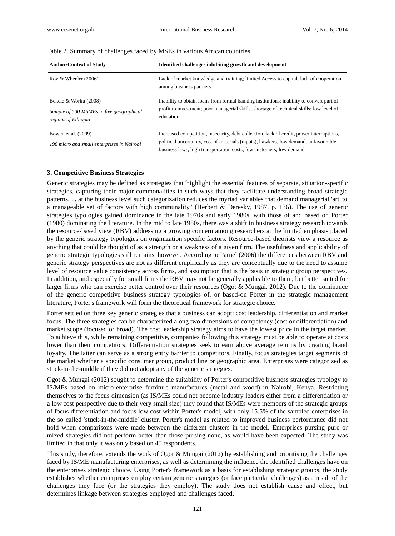| <b>Author/Context of Study</b>                                                           | Identified challenges inhibiting growth and development                                                                                                                                                                                                 |
|------------------------------------------------------------------------------------------|---------------------------------------------------------------------------------------------------------------------------------------------------------------------------------------------------------------------------------------------------------|
| Roy & Wheeler $(2006)$                                                                   | Lack of market knowledge and training; limited Access to capital; lack of cooperation<br>among business partners                                                                                                                                        |
| Bekele & Worku (2008)<br>Sample of 500 MSMEs in five geographical<br>regions of Ethiopia | Inability to obtain loans from formal banking institutions; inability to convert part of<br>profit to investment; poor managerial skills; shortage of technical skills; low level of<br>education                                                       |
| Bowen et al. (2009)<br>198 micro and small enterprises in Nairobi                        | Increased competition, insecurity, debt collection, lack of credit, power interruptions,<br>political uncertainty, cost of materials (inputs), hawkers, low demand, unfavourable<br>business laws, high transportation costs, few customers, low demand |

### Table 2. Summary of challenges faced by MSEs in various African countries

#### **3. Competitive Business Strategies**

Generic strategies may be defined as strategies that 'highlight the essential features of separate, situation-specific strategies, capturing their major commonalities in such ways that they facilitate understanding broad strategic patterns. ... at the business level such categorization reduces the myriad variables that demand managerial 'art' to a manageable set of factors with high communality.' (Herbert & Deresky, 1987, p. 136). The use of generic strategies typologies gained dominance in the late 1970s and early 1980s, with those of and based on Porter (1980) dominating the literature. In the mid to late 1980s, there was a shift in business strategy research towards the resource-based view (RBV) addressing a growing concern among researchers at the limited emphasis placed by the generic strategy typologies on organization specific factors. Resource-based theorists view a resource as anything that could be thought of as a strength or a weakness of a given firm. The usefulness and applicability of generic strategic typologies still remains, however. According to Parnel (2006) the differences between RBV and generic strategy perspectives are not as different empirically as they are conceptually due to the need to assume level of resource value consistency across firms, and assumption that is the basis in strategic group perspectives. In addition, and especially for small firms the RBV may not be generally applicable to them, but better suited for larger firms who can exercise better control over their resources (Ogot & Mungai, 2012). Due to the dominance of the generic competitive business strategy typologies of, or based-on Porter in the strategic management literature, Porter's framework will form the theoretical framework for strategic choice.

Porter settled on three key generic strategies that a business can adopt: cost leadership, differentiation and market focus. The three strategies can be characterized along two dimensions of competency (cost or differentiation) and market scope (focused or broad). The cost leadership strategy aims to have the lowest price in the target market. To achieve this, while remaining competitive, companies following this strategy must be able to operate at costs lower than their competitors. Differentiation strategies seek to earn above average returns by creating brand loyalty. The latter can serve as a strong entry barrier to competitors. Finally, focus strategies target segments of the market whether a specific consumer group, product line or geographic area. Enterprises were categorized as stuck-in-the-middle if they did not adopt any of the generic strategies.

Ogot & Mungai (2012) sought to determine the suitability of Porter's competitive business strategies typology to IS/MEs based on micro-enterprise furniture manufactures (metal and wood) in Nairobi, Kenya. Restricting themselves to the focus dimension (as IS/MEs could not become industry leaders either from a differentiation or a low cost perspective due to their very small size) they found that IS/MEs were members of the strategic groups of focus differentiation and focus low cost within Porter's model, with only 15.5% of the sampled enterprises in the so called 'stuck-in-the-middle' cluster. Porter's model as related to improved business performance did not hold when comparisons were made between the different clusters in the model. Enterprises pursing pure or mixed strategies did not perform better than those pursing none, as would have been expected. The study was limited in that only it was only based on 45 respondents.

This study, therefore, extends the work of Ogot & Mungai (2012) by establishing and prioritising the challenges faced by IS/ME manufacturing enterprises, as well as determining the influence the identified challenges have on the enterprises strategic choice. Using Porter's framework as a basis for establishing strategic groups, the study establishes whether enterprises employ certain generic strategies (or face particular challenges) as a result of the challenges they face (or the strategies they employ). The study does not establish cause and effect, but determines linkage between strategies employed and challenges faced.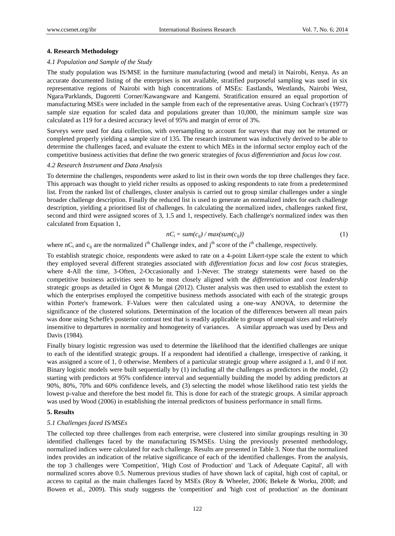### **4. Research Methodology**

#### *4.1 Population and Sample of the Study*

The study population was IS/MSE in the furniture manufacturing (wood and metal) in Nairobi, Kenya. As an accurate documented listing of the enterprises is not available, stratified purposeful sampling was used in six representative regions of Nairobi with high concentrations of MSEs: Eastlands, Westlands, Nairobi West, Ngara/Parklands, Dagoretti Corner/Kawangware and Kangemi. Stratification ensured an equal proportion of manufacturing MSEs were included in the sample from each of the representative areas. Using Cochran's (1977) sample size equation for scaled data and populations greater than 10,000, the minimum sample size was calculated as 119 for a desired accuracy level of 95% and margin of error of 3%.

Surveys were used for data collection, with oversampling to account for surveys that may not be returned or completed properly yielding a sample size of 135. The research instrument was inductively derived to be able to determine the challenges faced, and evaluate the extent to which MEs in the informal sector employ each of the competitive business activities that define the two generic strategies of *focus differentiation* and *focus low cost*.

## *4.2 Research Instrument and Data Analysis*

To determine the challenges, respondents were asked to list in their own words the top three challenges they face. This approach was thought to yield richer results as opposed to asking respondents to rate from a predetermined list. From the ranked list of challenges, cluster analysis is carried out to group similar challenges under a single broader challenge description. Finally the reduced list is used to generate an normalized index for each challenge description, yielding a prioritised list of challenges. In calculating the normalized index, challenges ranked first, second and third were assigned scores of 3, 1.5 and 1, respectively. Each challenge's normalized index was then calculated from Equation 1,

$$
nC_i = sum(c_{ij}) / max(sum(c_{ij}))
$$
\n(1)

where nC<sub>i</sub> and  $c_{ii}$  are the normalized i<sup>th</sup> Challenge index, and j<sup>th</sup> score of the i<sup>th</sup> challenge, respectively.

To establish strategic choice, respondents were asked to rate on a 4-point Likert-type scale the extent to which they employed several different strategies associated with *differentiation focus* and *low cost focus* strategies, where 4-All the time, 3-Often, 2-Occasionally and 1-Never. The strategy statements were based on the competitive business activities seen to be most closely aligned with the *differentiation* and *cost leadership* strategic groups as detailed in Ogot & Mungai (2012). Cluster analysis was then used to establish the extent to which the enterprises employed the competitive business methods associated with each of the strategic groups within Porter's framework. F-Values were then calculated using a one-way ANOVA, to determine the significance of the clustered solutions. Determination of the location of the differences between all mean pairs was done using Scheffe's posterior contrast test that is readily applicable to groups of unequal sizes and relatively insensitive to departures in normality and homogeneity of variances. A similar approach was used by Dess and Davis (1984).

Finally binary logistic regression was used to determine the likelihood that the identified challenges are unique to each of the identified strategic groups. If a respondent had identified a challenge, irrespective of ranking, it was assigned a score of 1, 0 otherwise. Members of a particular strategic group where assigned a 1, and 0 if not. Binary logistic models were built sequentially by (1) including all the challenges as predictors in the model, (2) starting with predictors at 95% confidence interval and sequentially building the model by adding predictors at 90%, 80%, 70% and 60% confidence levels, and (3) selecting the model whose likelihood ratio test yields the lowest p-value and therefore the best model fit. This is done for each of the strategic groups. A similar approach was used by Wood (2006) in establishing the internal predictors of business performance in small firms.

## **5. Results**

#### *5.1 Challenges faced IS/MSEs*

The collected top three challenges from each enterprise, were clustered into similar groupings resulting in 30 identified challenges faced by the manufacturing IS/MSEs. Using the previously presented methodology, normalized indices were calculated for each challenge. Results are presented in Table 3. Note that the normalized index provides an indication of the relative significance of each of the identified challenges. From the analysis, the top 3 challenges were 'Competition', 'High Cost of Production' and 'Lack of Adequate Capital', all with normalized scores above 0.5. Numerous previous studies of have shown lack of capital, high cost of capital, or access to capital as the main challenges faced by MSEs (Roy & Wheeler, 2006; Bekele & Worku, 2008; and Bowen et al., 2009). This study suggests the 'competition' and 'high cost of production' as the dominant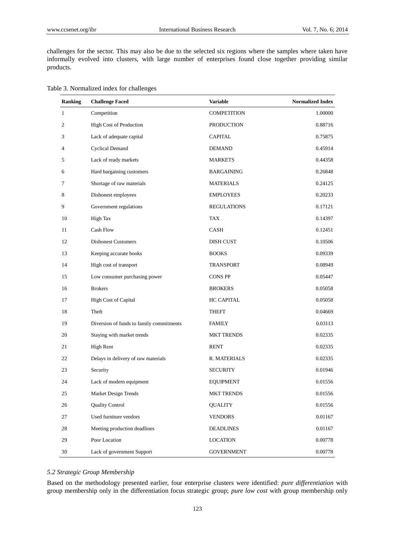challenges for the sector. This may also be due to the selected six regions where the samples where taken have informally evolved into clusters, with large number of enterprises found close together providing similar products.

|  | Table 3. Normalized index for challenges |  |  |
|--|------------------------------------------|--|--|
|--|------------------------------------------|--|--|

| <b>Ranking</b> | <b>Challenge Faced</b>                   | <b>Variable</b>    | <b>Normalized Index</b> |
|----------------|------------------------------------------|--------------------|-------------------------|
| $\mathbf{1}$   | Competition                              | <b>COMPETITION</b> | 1.00000                 |
| 2              | High Cost of Production                  | <b>PRODUCTION</b>  | 0.88716                 |
| 3              | Lack of adequate capital                 | <b>CAPITAL</b>     | 0.75875                 |
| 4              | <b>Cyclical Demand</b>                   | <b>DEMAND</b>      | 0.45914                 |
| 5              | Lack of ready markets                    | <b>MARKETS</b>     | 0.44358                 |
| 6              | Hard bargaining customers                | <b>BARGAINING</b>  | 0.26848                 |
| 7              | Shortage of raw materials                | <b>MATERIALS</b>   | 0.24125                 |
| 8              | Dishonest employees                      | <b>EMPLOYEES</b>   | 0.20233                 |
| 9              | Government regulations                   | <b>REGULATIONS</b> | 0.17121                 |
| 10             | High Tax                                 | <b>TAX</b>         | 0.14397                 |
| 11             | Cash Flow                                | <b>CASH</b>        | 0.12451                 |
| 12             | <b>Dishonest Customers</b>               | DISH CUST          | 0.10506                 |
| 13             | Keeping accurate books                   | <b>BOOKS</b>       | 0.09339                 |
| 14             | High cost of transport                   | TRANSPORT          | 0.08949                 |
| 15             | Low consumer purchasing power            | <b>CONS PP</b>     | 0.05447                 |
| 16             | <b>Brokers</b>                           | <b>BROKERS</b>     | 0.05058                 |
| 17             | <b>High Cost of Capital</b>              | <b>HC CAPITAL</b>  | 0.05058                 |
| 18             | Theft                                    | THEFT              | 0.04669                 |
| 19             | Diversion of funds to family commitments | <b>FAMILY</b>      | 0.03113                 |
| 20             | Staying with market trends               | <b>MKT TRENDS</b>  | 0.02335                 |
| 21             | High Rent                                | <b>RENT</b>        | 0.02335                 |
| 22             | Delays in delivery of raw materials      | R. MATERIALS       | 0.02335                 |
| 23             | Security                                 | <b>SECURITY</b>    | 0.01946                 |
| 24             | Lack of modern equipment                 | <b>EQUIPMENT</b>   | 0.01556                 |
| 25             | Market Design Trends                     | <b>MKT TRENDS</b>  | 0.01556                 |
| 26             | <b>Quality Control</b>                   | <b>QUALITY</b>     | 0.01556                 |
| 27             | Used furniture vendors                   | <b>VENDORS</b>     | 0.01167                 |
| 28             | Meeting production deadlines             | <b>DEADLINES</b>   | 0.01167                 |
| 29             | Poor Location                            | <b>LOCATION</b>    | 0.00778                 |
| 30             | Lack of government Support               | <b>GOVERNMENT</b>  | 0.00778                 |

# *5.2 Strategic Group Membership*

Based on the methodology presented earlier, four enterprise clusters were identified: *pure differentiation* with group membership only in the differentiation focus strategic group; *pure low cost* with group membership only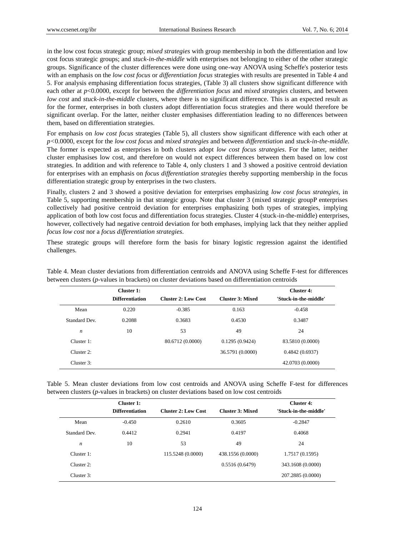in the low cost focus strategic group; *mixed strategies* with group membership in both the differentiation and low cost focus strategic groups; and *stuck-in-the-middle* with enterprises not belonging to either of the other strategic groups. Significance of the cluster differences were done using one-way ANOVA using Scheffe's posterior tests with an emphasis on the *low cost focus* or *differentiation focus* strategies with results are presented in Table 4 and 5. For analysis emphasing differentiation focus strategies, (Table 3) all clusters show significant difference with each other at *p*<0.0000, except for between the *differentiation focus* and *mixed strategies* clusters, and between *low cost* and *stuck-in-the-middle* clusters, where there is no significant difference*.* This is an expected result as for the former, enterprises in both clusters adopt differentiation focus strategies and there would therefore be significant overlap. For the latter, neither cluster emphasises differentiation leading to no differences between them, based on differentiation strategies.

For emphasis on *low cost focus* strategies (Table 5), all clusters show significant difference with each other at *p<*0.0000, except for the *low cost focus* and *mixed strategies* and between *differentiation* and *stuck-in-the-middle.* The former is expected as enterprises in both clusters adopt *low cost focus strategies*. For the latter, neither cluster emphasises low cost, and therefore on would not expect differences between them based on low cost strategies. In addition and with reference to Table 4, only clusters 1 and 3 showed a positive centroid deviation for enterprises with an emphasis on *focus differentiation strategies* thereby supporting membership in the focus differentiation strategic group by enterprises in the two clusters.

Finally, clusters 2 and 3 showed a positive deviation for enterprises emphasizing *low cost focus strategies*, in Table 5, supporting membership in that strategic group. Note that cluster 3 (mixed strategic groupP enterprises collectively had positive centroid deviation for enterprises emphasizing both types of strategies, implying application of both low cost focus and differentiation focus strategies. Cluster 4 (stuck-in-the-middle) enterprises, however, collectively had negative centroid deviation for both emphases, implying lack that they neither applied *focus low cost* nor a *focus differentiation strategies*.

These strategic groups will therefore form the basis for binary logistic regression against the identified challenges.

|                  | Cluster 1:             |                            |                         | Cluster 4:            |
|------------------|------------------------|----------------------------|-------------------------|-----------------------|
|                  | <b>Differentiation</b> | <b>Cluster 2: Low Cost</b> | <b>Cluster 3: Mixed</b> | 'Stuck-in-the-middle' |
| Mean             | 0.220                  | $-0.385$                   | 0.163                   | $-0.458$              |
| Standard Dev.    | 0.2088                 | 0.3683                     | 0.4530                  | 0.3487                |
| $\boldsymbol{n}$ | 10                     | 53                         | 49                      | 24                    |
| Cluster 1:       |                        | 80.6712 (0.0000)           | 0.1295(0.9424)          | 83.5810 (0.0000)      |
| Cluster 2:       |                        |                            | 36.5791 (0.0000)        | 0.4842(0.6937)        |
| Cluster 3:       |                        |                            |                         | 42.0703 (0.0000)      |

Table 4. Mean cluster deviations from differentiation centroids and ANOVA using Scheffe F-test for differences between clusters (*p*-values in brackets) on cluster deviations based on differentiation centroids

Table 5. Mean cluster deviations from low cost centroids and ANOVA using Scheffe F-test for differences between clusters (*p*-values in brackets) on cluster deviations based on low cost centroids

|              | Cluster 1:<br><b>Differentiation</b> | <b>Cluster 2: Low Cost</b> | <b>Cluster 3: Mixed</b> | Cluster 4:<br>'Stuck-in-the-middle' |
|--------------|--------------------------------------|----------------------------|-------------------------|-------------------------------------|
| Mean         | $-0.450$                             | 0.2610                     | 0.3605                  | $-0.2847$                           |
| Standard Dev | 0.4412                               | 0.2941                     | 0.4197                  | 0.4068                              |
| n            | 10                                   | 53                         | 49                      | 24                                  |
| Cluster 1:   |                                      | 115.5248 (0.0000)          | 438.1556 (0.0000)       | 1.7517 (0.1595)                     |
| Cluster 2:   |                                      |                            | 0.5516(0.6479)          | 343.1608 (0.0000)                   |
| Cluster 3:   |                                      |                            |                         | 207.2885 (0.0000)                   |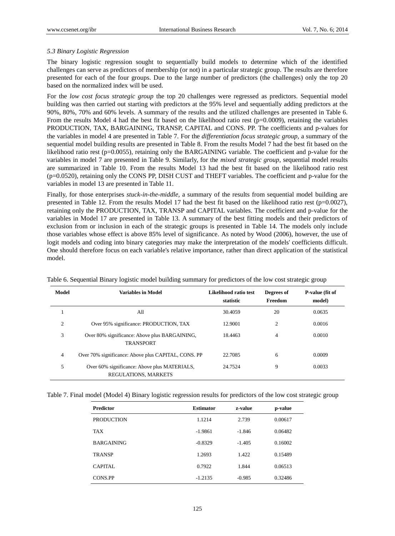# *5.3 Binary Logistic Regression*

The binary logistic regression sought to sequentially build models to determine which of the identified challenges can serve as predictors of membership (or not) in a particular strategic group. The results are therefore presented for each of the four groups. Due to the large number of predictors (the challenges) only the top 20 based on the normalized index will be used.

For the *low cost focus strategic group* the top 20 challenges were regressed as predictors. Sequential model building was then carried out starting with predictors at the 95% level and sequentially adding predictors at the 90%, 80%, 70% and 60% levels. A summary of the results and the utilized challenges are presented in Table 6. From the results Model 4 had the best fit based on the likelihood ratio rest ( $p=0.0009$ ), retaining the variables PRODUCTION, TAX, BARGAINING, TRANSP, CAPITAL and CONS. PP. The coefficients and p-values for the variables in model 4 are presented in Table 7. For the *differentiation focus strategic group,* a summary of the sequential model building results are presented in Table 8. From the results Model 7 had the best fit based on the likelihood ratio rest ( $p=0.0055$ ), retaining only the BARGAINING variable. The coefficient and p-value for the variables in model 7 are presented in Table 9. Similarly, for the *mixed strategic group*, sequential model results are summarized in Table 10. From the results Model 13 had the best fit based on the likelihood ratio rest (p=0.0520), retaining only the CONS PP, DISH CUST and THEFT variables. The coefficient and p-value for the variables in model 13 are presented in Table 11.

Finally, for those enterprises *stuck-in-the-middle,* a summary of the results from sequential model building are presented in Table 12. From the results Model 17 had the best fit based on the likelihood ratio rest (p=0.0027), retaining only the PRODUCTION, TAX, TRANSP and CAPITAL variables. The coefficient and p-value for the variables in Model 17 are presented in Table 13. A summary of the best fitting models and their predictors of exclusion from or inclusion in each of the strategic groups is presented in Table 14. The models only include those variables whose effect is above 85% level of significance. As noted by Wood (2006), however, the use of logit models and coding into binary categories may make the interpretation of the models' coefficients difficult. One should therefore focus on each variable's relative importance, rather than direct application of the statistical model.

| Model          | <b>Variables in Model</b>                                            | Likelihood ratio test<br>statistic | Degrees of<br>Freedom | P-value (fit of<br>model) |
|----------------|----------------------------------------------------------------------|------------------------------------|-----------------------|---------------------------|
| 1              | A11                                                                  | 30.4059                            | 20                    | 0.0635                    |
| $\overline{c}$ | Over 95% significance: PRODUCTION, TAX                               | 12.9001                            | $\overline{c}$        | 0.0016                    |
| 3              | Over 80% significance: Above plus BARGAINING,<br><b>TRANSPORT</b>    | 18.4463                            | 4                     | 0.0010                    |
| $\overline{4}$ | Over 70% significance: Above plus CAPITAL, CONS. PP                  | 22.7085                            | 6                     | 0.0009                    |
| 5              | Over 60% significance: Above plus MATERIALS,<br>REGULATIONS, MARKETS | 24.7524                            | 9                     | 0.0033                    |

Table 6. Sequential Binary logistic model building summary for predictors of the low cost strategic group

Table 7. Final model (Model 4) Binary logistic regression results for predictors of the low cost strategic group

| <b>Predictor</b>  | <b>Estimator</b> | z-value  | p-value |
|-------------------|------------------|----------|---------|
| <b>PRODUCTION</b> | 1.1214           | 2.739    | 0.00617 |
| <b>TAX</b>        | $-1.9861$        | $-1.846$ | 0.06482 |
| <b>BARGAINING</b> | $-0.8329$        | $-1.405$ | 0.16002 |
| <b>TRANSP</b>     | 1.2693           | 1.422    | 0.15489 |
| <b>CAPITAL</b>    | 0.7922           | 1.844    | 0.06513 |
| <b>CONS.PP</b>    | $-1.2135$        | $-0.985$ | 0.32486 |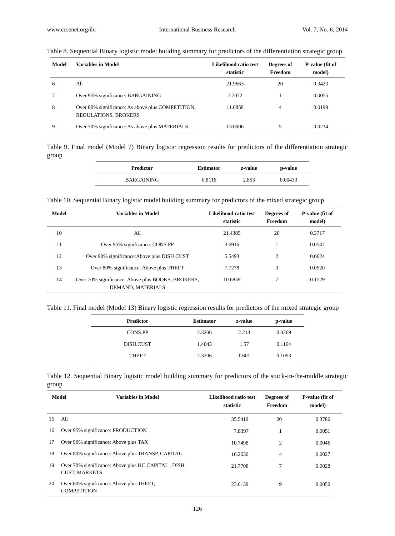| Model | <b>Variables in Model</b>                                                        | Likelihood ratio test<br>statistic | Degrees of<br>Freedom | P-value (fit of<br>model) |
|-------|----------------------------------------------------------------------------------|------------------------------------|-----------------------|---------------------------|
| 6     | All                                                                              | 21.9663                            | 20                    | 0.3423                    |
|       | Over 95% significance: BARGAINING                                                | 7.7072                             |                       | 0.0055                    |
| 8     | Over 80% significance: As above plus COMPETITION,<br><b>REGULATIONS, BROKERS</b> | 11.6858                            | 4                     | 0.0199                    |
| 9     | Over 70% significance: As above plus MATERIALS                                   | 13.0006                            | 5                     | 0.0234                    |

## Table 8. Sequential Binary logistic model building summary for predictors of the differentiation strategic group

Table 9. Final model (Model 7) Binary logistic regression results for predictors of the differentiation strategic group

| <b>Predictor</b> | <b>Estimator</b> | z-value | p-value |
|------------------|------------------|---------|---------|
| BARGAINING       | 0.8116           | 2.853   | 0.00433 |

Table 10. Sequential Binary logistic model building summary for predictors of the mixed strategic group

| Model | <b>Variables in Model</b>                                              | Likelihood ratio test<br>statistic | Degrees of<br>Freedom | P-value (fit of<br>model) |
|-------|------------------------------------------------------------------------|------------------------------------|-----------------------|---------------------------|
| 10    | All                                                                    | 21.4385                            | 20                    | 0.3717                    |
| 11    | Over 95% significance: CONS PP                                         | 3.6916                             |                       | 0.0547                    |
| 12    | Over 90% significance: Above plus DISH CUST                            | 5.5493                             | $\overline{c}$        | 0.0624                    |
| 13    | Over 80% significance: Above plus THEFT                                | 7.7278                             | 3                     | 0.0520                    |
| 14    | Over 70% significance: Above plus BOOKS, BROKERS,<br>DEMAND, MATERIALS | 10.6859                            | 7                     | 0.1529                    |

Table 11. Final model (Model 13) Binary logistic regression results for predictors of the mixed strategic group

| <b>Predictor</b> | <b>Estimator</b> | z-value | p-value |
|------------------|------------------|---------|---------|
| <b>CONS.PP</b>   | 2.3206           | 2.213   | 0.0269  |
| DISH.CUST        | 1.4043           | 1.57    | 0.1164  |
| <b>THEFT</b>     | 2.3206           | 1.601   | 0.1093  |

Table 12. Sequential Binary logistic model building summary for predictors of the stuck-in-the-middle strategic group

|    | Model<br><b>Variables in Model</b>                                          | Likelihood ratio test<br>statistic | Degrees of<br>Freedom | P-value (fit of<br>model) |
|----|-----------------------------------------------------------------------------|------------------------------------|-----------------------|---------------------------|
| 15 | All                                                                         | 35.5419                            | 20                    | 0.3786                    |
| 16 | Over 95% significance: PRODUCTION                                           | 7.8397                             |                       | 0.0051                    |
| 17 | Over 90% significance: Above plus TAX                                       | 10.7498                            | 2                     | 0.0046                    |
| 18 | Over 80% significance: Above plus TRANSP, CAPITAL                           | 16.2630                            | 4                     | 0.0027                    |
| 19 | Over 70% significance: Above plus HC CAPITAL, DISH.<br><b>CUST, MARKETS</b> | 21.7708                            | 7                     | 0.0028                    |
| 20 | Over 60% significance: Above plus THEFT,<br><b>COMPETITION</b>              | 23.6139                            | 9                     | 0.0050                    |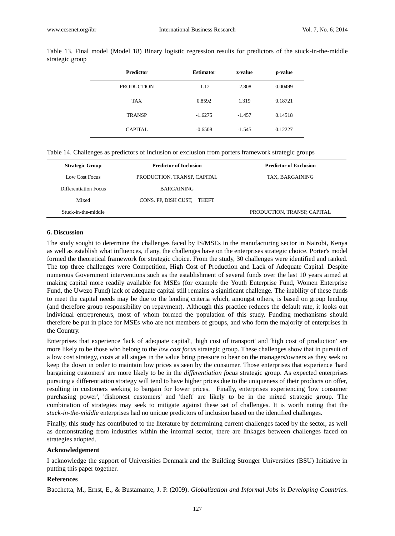| <b>Predictor</b>  | <b>Estimator</b> | z-value  | p-value |
|-------------------|------------------|----------|---------|
| <b>PRODUCTION</b> | $-1.12$          | $-2.808$ | 0.00499 |
| <b>TAX</b>        | 0.8592           | 1.319    | 0.18721 |
| <b>TRANSP</b>     | $-1.6275$        | $-1.457$ | 0.14518 |
| CAPITAL           | $-0.6508$        | $-1.545$ | 0.12227 |

Table 13. Final model (Model 18) Binary logistic regression results for predictors of the stuck-in-the-middle strategic group

Table 14. Challenges as predictors of inclusion or exclusion from porters framework strategic groups

| <b>Strategic Group</b> | <b>Predictor of Inclusion</b> | <b>Predictor of Exclusion</b> |
|------------------------|-------------------------------|-------------------------------|
| Low Cost Focus         | PRODUCTION, TRANSP, CAPITAL   | TAX, BARGAINING               |
| Differentiation Focus  | <b>BARGAINING</b>             |                               |
| Mixed                  | CONS. PP, DISH CUST, THEFT    |                               |
| Stuck-in-the-middle    |                               | PRODUCTION, TRANSP, CAPITAL   |

# **6. Discussion**

The study sought to determine the challenges faced by IS/MSEs in the manufacturing sector in Nairobi, Kenya as well as establish what influences, if any, the challenges have on the enterprises strategic choice. Porter's model formed the theoretical framework for strategic choice. From the study, 30 challenges were identified and ranked. The top three challenges were Competition, High Cost of Production and Lack of Adequate Capital. Despite numerous Government interventions such as the establishment of several funds over the last 10 years aimed at making capital more readily available for MSEs (for example the Youth Enterprise Fund, Women Enterprise Fund, the Uwezo Fund) lack of adequate capital still remains a significant challenge. The inability of these funds to meet the capital needs may be due to the lending criteria which, amongst others, is based on group lending (and therefore group responsibility on repayment). Although this practice reduces the default rate, it looks out individual entrepreneurs, most of whom formed the population of this study. Funding mechanisms should therefore be put in place for MSEs who are not members of groups, and who form the majority of enterprises in the Country.

Enterprises that experience 'lack of adequate capital', 'high cost of transport' and 'high cost of production' are more likely to be those who belong to the *low cost focus* strategic group. These challenges show that in pursuit of a low cost strategy, costs at all stages in the value bring pressure to bear on the managers/owners as they seek to keep the down in order to maintain low prices as seen by the consumer. Those enterprises that experience 'hard bargaining customers' are more likely to be in the *differentiation focus* strategic group. As expected enterprises pursuing a differentiation strategy will tend to have higher prices due to the uniqueness of their products on offer, resulting in customers seeking to bargain for lower prices. Finally, enterprises experiencing 'low consumer purchasing power', 'dishonest customers' and 'theft' are likely to be in the mixed strategic group. The combination of strategies may seek to mitigate against these set of challenges. It is worth noting that the *stuck-in-the-middle* enterprises had no unique predictors of inclusion based on the identified challenges.

Finally, this study has contributed to the literature by determining current challenges faced by the sector, as well as demonstrating from industries within the informal sector, there are linkages between challenges faced on strategies adopted.

## **Acknowledgement**

I acknowledge the support of Universities Denmark and the Building Stronger Universities (BSU) Initiative in putting this paper together.

# **References**

Bacchetta, M., Ernst, E., & Bustamante, J. P. (2009). *Globalization and Informal Jobs in Developing Countries*.